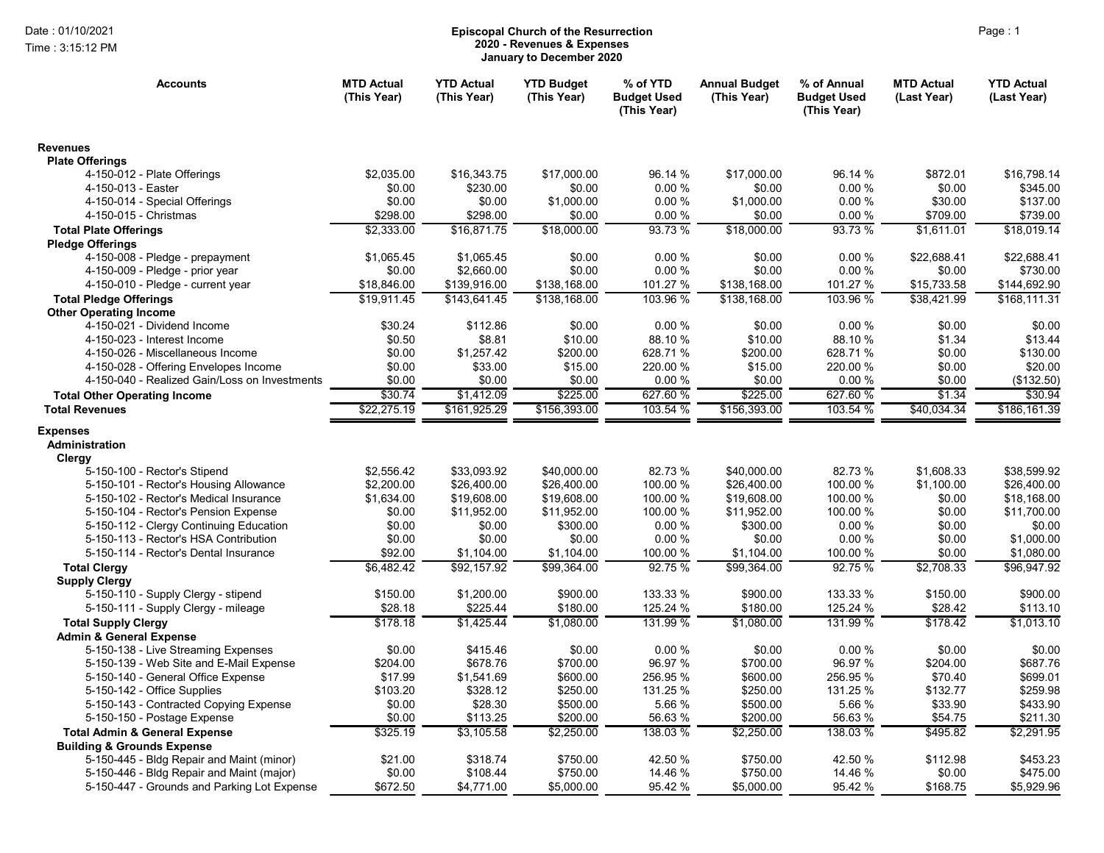Time : 3:15:12 PM

## Date : 01/10/2021 **Episcopal Church of the Resurrection** Page : 1 2020 - Revenues & Expenses January to December 2020

| <b>Accounts</b>                                                             | <b>MTD Actual</b><br>(This Year) | <b>YTD Actual</b><br>(This Year) | <b>YTD Budget</b><br>(This Year) | % of YTD<br><b>Budget Used</b><br>(This Year) | <b>Annual Budget</b><br>(This Year) | % of Annual<br><b>Budget Used</b><br>(This Year) | <b>MTD Actual</b><br>(Last Year) | <b>YTD Actual</b><br>(Last Year) |
|-----------------------------------------------------------------------------|----------------------------------|----------------------------------|----------------------------------|-----------------------------------------------|-------------------------------------|--------------------------------------------------|----------------------------------|----------------------------------|
| <b>Revenues</b>                                                             |                                  |                                  |                                  |                                               |                                     |                                                  |                                  |                                  |
| <b>Plate Offerings</b>                                                      |                                  |                                  |                                  |                                               |                                     |                                                  |                                  |                                  |
| 4-150-012 - Plate Offerings                                                 | \$2,035.00                       | \$16,343.75                      | \$17,000.00                      | 96.14 %<br>0.00%                              | \$17,000.00                         | 96.14 %<br>0.00%                                 | \$872.01                         | \$16,798.14                      |
| 4-150-013 - Easter<br>4-150-014 - Special Offerings                         | \$0.00<br>\$0.00                 | \$230.00<br>\$0.00               | \$0.00<br>\$1,000.00             | 0.00%                                         | \$0.00<br>\$1,000.00                | 0.00%                                            | \$0.00<br>\$30.00                | \$345.00<br>\$137.00             |
| 4-150-015 - Christmas                                                       | \$298.00                         | \$298.00                         | \$0.00                           | 0.00%                                         | \$0.00                              | 0.00%                                            | \$709.00                         | \$739.00                         |
|                                                                             | \$2,333.00                       | \$16,871.75                      | \$18,000.00                      | 93.73 %                                       | \$18,000.00                         | 93.73 %                                          | \$1,611.01                       | \$18,019.14                      |
| <b>Total Plate Offerings</b><br><b>Pledge Offerings</b>                     |                                  |                                  |                                  |                                               |                                     |                                                  |                                  |                                  |
| 4-150-008 - Pledge - prepayment                                             | \$1,065.45                       | \$1,065.45                       | \$0.00                           | 0.00%                                         | \$0.00                              | 0.00%                                            | \$22,688.41                      | \$22.688.41                      |
| 4-150-009 - Pledge - prior year                                             | \$0.00                           | \$2,660.00                       | \$0.00                           | 0.00%                                         | \$0.00                              | 0.00%                                            | \$0.00                           | \$730.00                         |
| 4-150-010 - Pledge - current year                                           | \$18,846.00                      | \$139,916.00                     | \$138,168.00                     | 101.27 %                                      | \$138,168.00                        | 101.27 %                                         | \$15,733.58                      | \$144,692.90                     |
| <b>Total Pledge Offerings</b>                                               | \$19,911.45                      | \$143,641.45                     | \$138,168.00                     | 103.96 %                                      | \$138,168.00                        | 103.96 %                                         | \$38,421.99                      | \$168,111.31                     |
| <b>Other Operating Income</b>                                               |                                  |                                  |                                  |                                               |                                     |                                                  |                                  |                                  |
| 4-150-021 - Dividend Income                                                 | \$30.24                          | \$112.86                         | \$0.00                           | 0.00%                                         | \$0.00                              | 0.00%                                            | \$0.00                           | \$0.00                           |
| 4-150-023 - Interest Income                                                 | \$0.50                           | \$8.81                           | \$10.00                          | 88.10 %                                       | \$10.00                             | 88.10%                                           | \$1.34                           | \$13.44                          |
| 4-150-026 - Miscellaneous Income                                            | \$0.00                           | \$1,257.42                       | \$200.00                         | 628.71%                                       | \$200.00                            | 628.71%                                          | \$0.00                           | \$130.00                         |
| 4-150-028 - Offering Envelopes Income                                       | \$0.00                           | \$33.00                          | \$15.00                          | 220.00 %                                      | \$15.00                             | 220.00 %                                         | \$0.00                           | \$20.00                          |
| 4-150-040 - Realized Gain/Loss on Investments                               | \$0.00                           | \$0.00                           | \$0.00                           | 0.00%                                         | \$0.00                              | 0.00%                                            | \$0.00                           | (\$132.50)                       |
| <b>Total Other Operating Income</b>                                         | \$30.74                          | \$1,412.09                       | \$225.00                         | 627.60 %                                      | \$225.00                            | 627.60 %                                         | \$1.34                           | \$30.94                          |
| <b>Total Revenues</b>                                                       | \$22,275.19                      | \$161,925.29                     | \$156,393.00                     | 103.54 %                                      | \$156,393.00                        | 103.54 %                                         | \$40,034.34                      | \$186,161.39                     |
| <b>Expenses</b><br>Administration<br>Clergy<br>5-150-100 - Rector's Stipend | \$2,556.42                       | \$33,093.92                      | \$40,000.00                      | 82.73 %                                       | \$40,000.00                         | 82.73%                                           | \$1,608.33                       | \$38.599.92                      |
| 5-150-101 - Rector's Housing Allowance                                      | \$2,200.00                       | \$26,400.00                      | \$26,400.00                      | 100.00 %                                      | \$26,400.00                         | 100.00 %                                         | \$1,100.00                       | \$26,400.00                      |
| 5-150-102 - Rector's Medical Insurance                                      | \$1,634.00                       | \$19,608.00                      | \$19,608.00                      | 100.00 %                                      | \$19,608.00                         | 100.00 %                                         | \$0.00                           | \$18.168.00                      |
| 5-150-104 - Rector's Pension Expense                                        | \$0.00                           | \$11,952.00                      | \$11,952.00                      | 100.00 %                                      | \$11,952.00                         | 100.00 %                                         | \$0.00                           | \$11,700.00                      |
| 5-150-112 - Clergy Continuing Education                                     | \$0.00                           | \$0.00                           | \$300.00                         | 0.00%                                         | \$300.00                            | 0.00%                                            | \$0.00                           | \$0.00                           |
| 5-150-113 - Rector's HSA Contribution                                       | \$0.00                           | \$0.00                           | \$0.00                           | 0.00%                                         | \$0.00                              | 0.00%                                            | \$0.00                           | \$1,000.00                       |
| 5-150-114 - Rector's Dental Insurance                                       | \$92.00                          | \$1,104.00                       | \$1,104.00                       | 100.00 %                                      | \$1,104.00                          | 100.00 %                                         | \$0.00                           | \$1,080.00                       |
| <b>Total Clergy</b><br><b>Supply Clergy</b>                                 | \$6,482.42                       | \$92,157.92                      | \$99,364.00                      | 92.75%                                        | \$99,364.00                         | 92.75 %                                          | \$2,708.33                       | \$96,947.92                      |
| 5-150-110 - Supply Clergy - stipend                                         | \$150.00                         | \$1,200.00                       | \$900.00                         | 133.33 %                                      | \$900.00                            | 133.33 %                                         | \$150.00                         | \$900.00                         |
| 5-150-111 - Supply Clergy - mileage                                         | \$28.18                          | \$225.44                         | \$180.00                         | 125.24 %                                      | \$180.00                            | 125.24 %                                         | \$28.42                          | \$113.10                         |
| <b>Total Supply Clergy</b><br><b>Admin &amp; General Expense</b>            | \$178.18                         | \$1,425.44                       | \$1,080.00                       | 131.99 %                                      | \$1,080.00                          | 131.99 %                                         | \$178.42                         | \$1,013.10                       |
| 5-150-138 - Live Streaming Expenses                                         | \$0.00                           | \$415.46                         | \$0.00                           | 0.00%                                         | \$0.00                              | 0.00%                                            | \$0.00                           | \$0.00                           |
| 5-150-139 - Web Site and E-Mail Expense                                     | \$204.00                         | \$678.76                         | \$700.00                         | 96.97 %                                       | \$700.00                            | 96.97 %                                          | \$204.00                         | \$687.76                         |
| 5-150-140 - General Office Expense                                          | \$17.99                          | \$1,541.69                       | \$600.00                         | 256.95 %                                      | \$600.00                            | 256.95 %                                         | \$70.40                          | \$699.01                         |
| 5-150-142 - Office Supplies                                                 | \$103.20                         | \$328.12                         | \$250.00                         | 131.25 %                                      | \$250.00                            | 131.25 %                                         | \$132.77                         | \$259.98                         |
| 5-150-143 - Contracted Copying Expense                                      | \$0.00                           | \$28.30                          | \$500.00                         | 5.66 %                                        | \$500.00                            | 5.66 %                                           | \$33.90                          | \$433.90                         |
| 5-150-150 - Postage Expense                                                 | \$0.00                           | \$113.25                         | \$200.00                         | 56.63 %                                       | \$200.00                            | 56.63%                                           | \$54.75                          | \$211.30                         |
| <b>Total Admin &amp; General Expense</b>                                    | \$325.19                         | \$3,105.58                       | \$2,250.00                       | 138.03 %                                      | \$2,250.00                          | 138.03 %                                         | \$495.82                         | \$2,291.95                       |
| <b>Building &amp; Grounds Expense</b>                                       |                                  |                                  |                                  |                                               |                                     |                                                  |                                  |                                  |
| 5-150-445 - Bldg Repair and Maint (minor)                                   | \$21.00                          | \$318.74                         | \$750.00                         | 42.50 %                                       | \$750.00                            | 42.50 %                                          | \$112.98                         | \$453.23                         |
| 5-150-446 - Bldg Repair and Maint (major)                                   | \$0.00                           | \$108.44                         | \$750.00                         | 14.46 %                                       | \$750.00                            | 14.46 %                                          | \$0.00                           | \$475.00                         |
| 5-150-447 - Grounds and Parking Lot Expense                                 | \$672.50                         | \$4,771.00                       | \$5,000.00                       | 95.42 %                                       | \$5,000.00                          | 95.42 %                                          | \$168.75                         | \$5,929.96                       |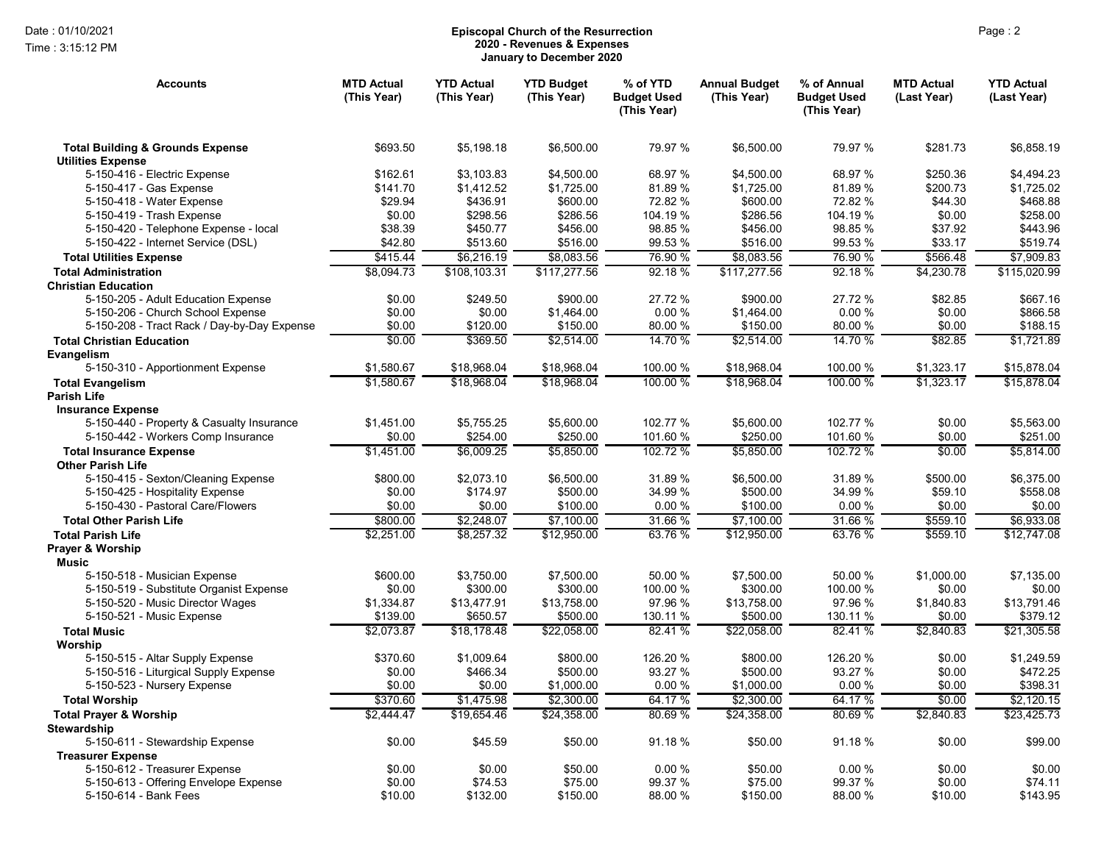Time : 3:15:12 PM

## Date : 01/10/2021 Page : 2 Episcopal Church of the Resurrection 2020 - Revenues & Expenses January to December 2020

| <b>Accounts</b>                                                         | <b>MTD Actual</b><br>(This Year) | <b>YTD Actual</b><br>(This Year) | <b>YTD Budget</b><br>(This Year) | % of YTD<br><b>Budget Used</b><br>(This Year) | <b>Annual Budget</b><br>(This Year) | % of Annual<br><b>Budget Used</b><br>(This Year) | <b>MTD Actual</b><br>(Last Year) | <b>YTD Actual</b><br>(Last Year) |
|-------------------------------------------------------------------------|----------------------------------|----------------------------------|----------------------------------|-----------------------------------------------|-------------------------------------|--------------------------------------------------|----------------------------------|----------------------------------|
| <b>Total Building &amp; Grounds Expense</b><br><b>Utilities Expense</b> | \$693.50                         | \$5.198.18                       | \$6,500.00                       | 79.97 %                                       | \$6.500.00                          | 79.97 %                                          | \$281.73                         | \$6.858.19                       |
| 5-150-416 - Electric Expense                                            | \$162.61                         | \$3,103.83                       | \$4,500.00                       | 68.97 %                                       | \$4,500.00                          | 68.97 %                                          | \$250.36                         | \$4,494.23                       |
| 5-150-417 - Gas Expense                                                 | \$141.70                         | \$1,412.52                       | \$1,725.00                       | 81.89 %                                       | \$1,725.00                          | 81.89%                                           | \$200.73                         | \$1,725.02                       |
| 5-150-418 - Water Expense                                               | \$29.94                          | \$436.91                         | \$600.00                         | 72.82 %                                       | \$600.00                            | 72.82 %                                          | \$44.30                          | \$468.88                         |
| 5-150-419 - Trash Expense                                               | \$0.00                           | \$298.56                         | \$286.56                         | 104.19 %                                      | \$286.56                            | 104.19 %                                         | \$0.00                           | \$258.00                         |
| 5-150-420 - Telephone Expense - local                                   | \$38.39                          | \$450.77                         | \$456.00                         | 98.85 %                                       | \$456.00                            | 98.85 %                                          | \$37.92                          | \$443.96                         |
| 5-150-422 - Internet Service (DSL)                                      | \$42.80                          | \$513.60                         | \$516.00                         | 99.53 %                                       | \$516.00                            | 99.53 %                                          | \$33.17                          | \$519.74                         |
| <b>Total Utilities Expense</b>                                          | \$415.44                         | \$6,216.19                       | \$8,083.56                       | 76.90 %                                       | \$8,083.56                          | 76.90 %                                          | \$566.48                         | \$7.909.83                       |
| <b>Total Administration</b>                                             | \$8.094.73                       | \$108.103.31                     | \$117,277.56                     | 92.18 %                                       | \$117,277.56                        | 92.18 %                                          | \$4,230.78                       | \$115,020.99                     |
| <b>Christian Education</b>                                              |                                  |                                  |                                  |                                               |                                     |                                                  |                                  |                                  |
| 5-150-205 - Adult Education Expense                                     | \$0.00                           | \$249.50                         | \$900.00                         | 27.72 %                                       | \$900.00                            | 27.72 %                                          | \$82.85                          | \$667.16                         |
| 5-150-206 - Church School Expense                                       | \$0.00                           | \$0.00                           | \$1,464.00                       | 0.00%                                         | \$1,464.00                          | 0.00%                                            | \$0.00                           | \$866.58                         |
| 5-150-208 - Tract Rack / Day-by-Day Expense                             | \$0.00                           | \$120.00                         | \$150.00                         | 80.00 %                                       | \$150.00                            | 80.00 %                                          | \$0.00                           | \$188.15                         |
| <b>Total Christian Education</b>                                        | \$0.00                           | \$369.50                         | \$2,514.00                       | 14.70 %                                       | \$2,514.00                          | 14.70 %                                          | \$82.85                          | \$1,721.89                       |
| Evangelism                                                              |                                  |                                  |                                  |                                               |                                     |                                                  |                                  |                                  |
| 5-150-310 - Apportionment Expense                                       | \$1,580.67                       | \$18,968.04                      | \$18,968.04                      | 100.00 %                                      | \$18,968.04                         | 100.00 %                                         | \$1,323.17                       | \$15,878.04                      |
| <b>Total Evangelism</b>                                                 | \$1.580.67                       | \$18,968.04                      | \$18,968.04                      | $100.00\%$                                    | \$18.968.04                         | 100.00 %                                         | \$1,323.17                       | \$15.878.04                      |
| <b>Parish Life</b>                                                      |                                  |                                  |                                  |                                               |                                     |                                                  |                                  |                                  |
| <b>Insurance Expense</b>                                                |                                  |                                  |                                  |                                               |                                     |                                                  |                                  |                                  |
| 5-150-440 - Property & Casualty Insurance                               | \$1,451.00                       | \$5,755.25                       | \$5,600.00                       | 102.77 %                                      | \$5,600.00                          | 102.77 %                                         | \$0.00                           | \$5,563.00                       |
| 5-150-442 - Workers Comp Insurance                                      | \$0.00                           | \$254.00                         | \$250.00                         | 101.60 %                                      | \$250.00                            | 101.60 %                                         | \$0.00                           | \$251.00                         |
| <b>Total Insurance Expense</b>                                          | \$1,451.00                       | \$6.009.25                       | \$5,850.00                       | 102.72 %                                      | \$5.850.00                          | 102.72 %                                         | \$0.00                           | \$5.814.00                       |
| <b>Other Parish Life</b>                                                |                                  |                                  |                                  |                                               |                                     |                                                  |                                  |                                  |
| 5-150-415 - Sexton/Cleaning Expense                                     | \$800.00                         | \$2,073.10                       | \$6,500.00                       | 31.89 %                                       | \$6,500.00                          | 31.89 %                                          | \$500.00                         | \$6,375.00                       |
| 5-150-425 - Hospitality Expense                                         | \$0.00                           | \$174.97                         | \$500.00                         | 34.99 %                                       | \$500.00                            | 34.99 %                                          | \$59.10                          | \$558.08                         |
| 5-150-430 - Pastoral Care/Flowers                                       | \$0.00                           | \$0.00                           | \$100.00                         | 0.00%                                         | \$100.00                            | 0.00%                                            | \$0.00                           | \$0.00                           |
| <b>Total Other Parish Life</b>                                          | \$800.00                         | \$2,248.07                       | \$7,100.00                       | 31.66 %                                       | \$7,100.00                          | 31.66 %                                          | \$559.10                         | \$6.933.08                       |
| <b>Total Parish Life</b>                                                | \$2,251.00                       | \$8,257.32                       | \$12,950.00                      | 63.76 %                                       | \$12,950.00                         | 63.76 %                                          | \$559.10                         | \$12,747.08                      |
| Prayer & Worship<br><b>Music</b>                                        |                                  |                                  |                                  |                                               |                                     |                                                  |                                  |                                  |
| 5-150-518 - Musician Expense                                            | \$600.00                         | \$3,750.00                       | \$7,500.00                       | 50.00 %                                       | \$7,500.00                          | 50.00 %                                          | \$1,000.00                       | \$7,135.00                       |
| 5-150-519 - Substitute Organist Expense                                 | \$0.00                           | \$300.00                         | \$300.00                         | 100.00 %                                      | \$300.00                            | 100.00 %                                         | \$0.00                           | \$0.00                           |
| 5-150-520 - Music Director Wages                                        | \$1,334.87                       | \$13,477.91                      | \$13,758.00                      | 97.96 %                                       | \$13,758.00                         | 97.96 %                                          | \$1,840.83                       | \$13.791.46                      |
| 5-150-521 - Music Expense                                               | \$139.00                         | \$650.57                         | \$500.00                         | 130.11 %                                      | \$500.00                            | 130.11 %                                         | \$0.00                           | \$379.12                         |
| <b>Total Music</b>                                                      | \$2,073.87                       | \$18,178.48                      | \$22,058.00                      | 82.41 %                                       | \$22,058.00                         | 82.41 %                                          | \$2,840.83                       | \$21,305.58                      |
| Worship                                                                 |                                  |                                  |                                  |                                               |                                     |                                                  |                                  |                                  |
| 5-150-515 - Altar Supply Expense                                        | \$370.60                         | \$1,009.64                       | \$800.00                         | 126.20 %                                      | \$800.00                            | 126.20 %                                         | \$0.00                           | \$1,249.59                       |
| 5-150-516 - Liturgical Supply Expense                                   | \$0.00                           | \$466.34                         | \$500.00                         | 93.27 %                                       | \$500.00                            | 93.27 %                                          | \$0.00                           | \$472.25                         |
| 5-150-523 - Nursery Expense                                             | \$0.00                           | \$0.00                           | \$1,000.00                       | 0.00%                                         | \$1,000.00                          | 0.00%                                            | \$0.00                           | \$398.31                         |
| <b>Total Worship</b>                                                    | \$370.60                         | \$1,475.98                       | \$2,300.00                       | 64.17 %                                       | \$2,300.00                          | 64.17 %                                          | \$0.00                           | \$2,120.15                       |
| <b>Total Prayer &amp; Worship</b>                                       | \$2,444.47                       | \$19,654.46                      | \$24,358.00                      | 80.69%                                        | \$24,358.00                         | 80.69%                                           | \$2,840.83                       | \$23,425.73                      |
| <b>Stewardship</b>                                                      |                                  |                                  |                                  |                                               |                                     |                                                  |                                  |                                  |
| 5-150-611 - Stewardship Expense                                         | \$0.00                           | \$45.59                          | \$50.00                          | 91.18 %                                       | \$50.00                             | 91.18%                                           | \$0.00                           | \$99.00                          |
| <b>Treasurer Expense</b>                                                |                                  |                                  |                                  |                                               |                                     |                                                  |                                  |                                  |
| 5-150-612 - Treasurer Expense                                           | \$0.00                           | \$0.00                           | \$50.00                          | 0.00%                                         | \$50.00                             | 0.00%                                            | \$0.00                           | \$0.00                           |
| 5-150-613 - Offering Envelope Expense                                   | \$0.00                           | \$74.53                          | \$75.00                          | 99.37 %                                       | \$75.00                             | 99.37 %                                          | \$0.00                           | \$74.11                          |
| 5-150-614 - Bank Fees                                                   | \$10.00                          | \$132.00                         | \$150.00                         | 88.00 %                                       | \$150.00                            | 88.00 %                                          | \$10.00                          | \$143.95                         |